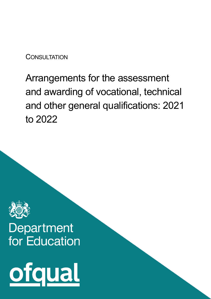**CONSULTATION** 

# Arrangements for the assessment and awarding of vocational, technical and other general qualifications: 2021 to 2022



# Department for Education

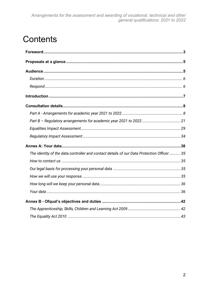# **Contents**

| The identity of the data controller and contact details of our Data Protection Officer  35 |
|--------------------------------------------------------------------------------------------|
|                                                                                            |
|                                                                                            |
|                                                                                            |
|                                                                                            |
|                                                                                            |
|                                                                                            |
|                                                                                            |
|                                                                                            |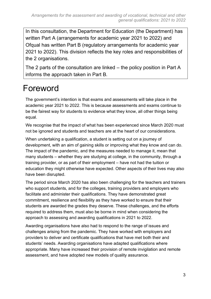In this consultation, the Department for Education (the Department) has written Part A (arrangements for academic year 2021 to 2022) and Ofqual has written Part B (regulatory arrangements for academic year 2021 to 2022). This division reflects the key roles and responsibilities of the 2 organisations.

The 2 parts of the consultation are linked – the policy position in Part A informs the approach taken in Part B.

# <span id="page-2-0"></span>Foreword

The government's intention is that exams and assessments will take place in the academic year 2021 to 2022. This is because assessments and exams continue to be the fairest way for students to evidence what they know, all other things being equal.

We recognise that the impact of what has been experienced since March 2020 must not be ignored and students and teachers are at the heart of our considerations.

When undertaking a qualification, a student is setting out on a journey of development, with an aim of gaining skills or improving what they know and can do. The impact of the pandemic, and the measures needed to manage it, mean that many students – whether they are studying at college, in the community, through a training provider, or as part of their employment – have not had the tuition or education they might otherwise have expected. Other aspects of their lives may also have been disrupted.

The period since March 2020 has also been challenging for the teachers and trainers who support students, and for the colleges, training providers and employers who facilitate and administer their qualifications. They have demonstrated great commitment, resilience and flexibility as they have worked to ensure that their students are awarded the grades they deserve. These challenges, and the efforts required to address them, must also be borne in mind when considering the approach to assessing and awarding qualifications in 2021 to 2022.

Awarding organisations have also had to respond to the range of issues and challenges arising from the pandemic. They have worked with employers and providers to deliver and certificate qualifications that have met both their and students' needs. Awarding organisations have adapted qualifications where appropriate. Many have increased their provision of remote invigilation and remote assessment, and have adopted new models of quality assurance.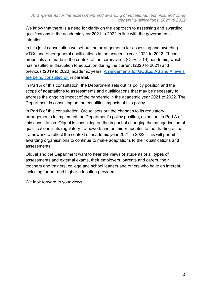We know that there is a need for clarity on the approach to assessing and awarding qualifications in the academic year 2021 to 2022 in line with the government's intention.

In this joint consultation we set out the arrangements for assessing and awarding VTQs and other general qualifications in the academic year 2021 to 2022. These proposals are made in the context of the coronavirus (COVID-19) pandemic, which has resulted in disruption to education during the current (2020 to 2021) and previous (2019 to 2020) academic years. [Arrangements for GCSEs, AS and A levels](https://www.gov.uk/government/consultations/proposed-changes-to-the-assessment-of-gcses-as-and-a-levels-in-2022)  [are being consulted on](https://www.gov.uk/government/consultations/proposed-changes-to-the-assessment-of-gcses-as-and-a-levels-in-2022) in parallel.

In Part A of this consultation, the Department sets out its policy position and the scope of adaptations to assessments and qualifications that may be necessary to address the ongoing impact of the pandemic in the academic year 2021 to 2022. The Department is consulting on the equalities impacts of this policy.

In Part B of this consultation, Ofqual sets out the changes to its regulatory arrangements to implement the Department's policy position, as set out in Part A of this consultation. Ofqual is consulting on the impact of changing the categorisation of qualifications in its regulatory framework and on minor updates to the drafting of that framework to reflect the context of academic year 2021 to 2022. This will permit awarding organisations to continue to make adaptations to their qualifications and assessments.

Ofqual and the Department want to hear the views of students of all types of assessments and external exams, their employers, parents and carers, their teachers and trainers, college and school leaders and others who have an interest, including further and higher education providers.

We look forward to your views.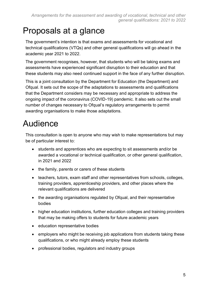# <span id="page-4-0"></span>Proposals at a glance

The government's intention is that exams and assessments for vocational and technical qualifications (VTQs) and other general qualifications will go ahead in the academic year 2021 to 2022.

The government recognises, however, that students who will be taking exams and assessments have experienced significant disruption to their education and that these students may also need continued support in the face of any further disruption.

This is a joint consultation by the Department for Education (the Department) and Ofqual. It sets out the scope of the adaptations to assessments and qualifications that the Department considers may be necessary and appropriate to address the ongoing impact of the coronavirus (COVID-19) pandemic. It also sets out the small number of changes necessary to Ofqual's regulatory arrangements to permit awarding organisations to make those adaptations.

# <span id="page-4-1"></span>Audience

This consultation is open to anyone who may wish to make representations but may be of particular interest to:

- students and apprentices who are expecting to sit assessments and/or be awarded a vocational or technical qualification, or other general qualification, in 2021 and 2022
- the family, parents or carers of these students
- teachers, tutors, exam staff and other representatives from schools, colleges, training providers, apprenticeship providers, and other places where the relevant qualifications are delivered
- the awarding organisations regulated by Ofqual, and their representative bodies
- higher education institutions, further education colleges and training providers that may be making offers to students for future academic years
- education representative bodies
- employers who might be receiving job applications from students taking these qualifications, or who might already employ these students
- professional bodies, regulators and industry groups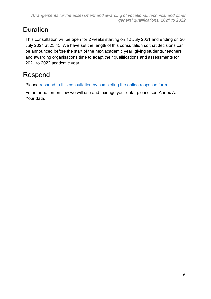# <span id="page-5-0"></span>**Duration**

This consultation will be open for 2 weeks starting on 12 July 2021 and ending on 26 July 2021 at 23:45. We have set the length of this consultation so that decisions can be announced before the start of the next academic year, giving students, teachers and awarding organisations time to adapt their qualifications and assessments for 2021 to 2022 academic year.

# <span id="page-5-1"></span>Respond

Please [respond to this consultation by completing the online response form.](https://www.gov.uk/government/consultations/arrangements-for-the-assessment-and-awarding-of-vocational-technical-and-other-general-qualifications-2021-to-2022)

For information on how we will use and manage your data, please see [Annex A:](#page-37-0)  [Your data.](#page-37-0)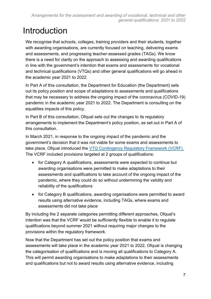# <span id="page-6-0"></span>Introduction

We recognise that schools, colleges, training providers and their students, together with awarding organisations, are currently focused on teaching, delivering exams and assessments, and progressing teacher-assessed grades (TAGs). We know there is a need for clarity on the approach to assessing and awarding qualifications in line with the government's intention that exams and assessments for vocational and technical qualifications (VTQs) and other general qualifications will go ahead in the academic year 2021 to 2022.

In Part A of this consultation, the Department for Education (the Department) sets out its policy position and scope of adaptations to assessments and qualifications that may be necessary to address the ongoing impact of the coronavirus (COVID-19) pandemic in the academic year 2021 to 2022. The Department is consulting on the equalities impacts of this policy.

In Part B of this consultation, Ofqual sets out the changes to its regulatory arrangements to implement the Department's policy position, as set out in Part A of this consultation.

In March 2021, in response to the ongoing impact of the pandemic and the government's decision that it was not viable for some exams and assessments to take place, Ofqual introduced the [VTQ Contingency Regulatory Framework \(VCRF\).](https://www.gov.uk/government/publications/vocational-and-technical-qualifications-contingency-regulatory-framework) The VCRF included provisions targeted at 2 groups of qualifications:

- for Category A qualifications, assessments were expected to continue but awarding organisations were permitted to make adaptations to their assessments and qualifications to take account of the ongoing impact of the pandemic, where they could do so without undermining the validity and reliability of the qualifications
- for Category B qualifications, awarding organisations were permitted to award results using alternative evidence, including TAGs, where exams and assessments did not take place

By including the 2 separate categories permitting different approaches, Ofqual's intention was that the VCRF would be sufficiently flexible to enable it to regulate qualifications beyond summer 2021 without requiring major changes to the provisions within the regulatory framework.

Now that the Department has set out the policy position that exams and assessments will take place in the academic year 2021 to 2022, Ofqual is changing the categorisation of qualifications and is moving all qualifications to Category A. This will permit awarding organisations to make adaptations to their assessments and qualifications but not to award results using alternative evidence, including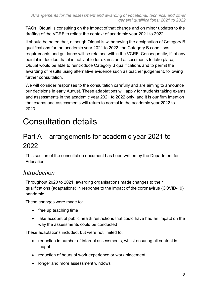TAGs. Ofqual is consulting on the impact of that change and on minor updates to the drafting of the VCRF to reflect the context of academic year 2021 to 2022.

It should be noted that, although Ofqual is withdrawing the designation of Category B qualifications for the academic year 2021 to 2022, the Category B conditions, requirements and guidance will be retained within the VCRF. Consequently, if, at any point it is decided that it is not viable for exams and assessments to take place, Ofqual would be able to reintroduce Category B qualifications and to permit the awarding of results using alternative evidence such as teacher judgement, following further consultation.

We will consider responses to the consultation carefully and are aiming to announce our decisions in early August. These adaptations will apply for students taking exams and assessments in the academic year 2021 to 2022 only, and it is our firm intention that exams and assessments will return to normal in the academic year 2022 to 2023.

# <span id="page-7-0"></span>Consultation details

# <span id="page-7-1"></span>Part A – arrangements for academic year 2021 to 2022

This section of the consultation document has been written by the Department for Education.

#### *Introduction*

Throughout 2020 to 2021, awarding organisations made changes to their qualifications (adaptations) in response to the impact of the coronavirus (COVID-19) pandemic.

These changes were made to:

- free up teaching time
- take account of public health restrictions that could have had an impact on the way the assessments could be conducted

These adaptations included, but were not limited to:

- reduction in number of internal assessments, whilst ensuring all content is taught
- reduction of hours of work experience or work placement
- longer and more assessment windows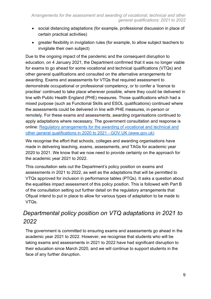- social distancing adaptations (for example, professional discussion in place of certain practical activities)
- greater flexibility in invigilation rules (for example, to allow subject teachers to invigilate their own subject)

Due to the ongoing impact of the pandemic and the consequent disruption to education, on 4 January 2021, the Department confirmed that it was no longer viable for exams to go ahead for some vocational and technical qualifications (VTQs) and other general qualifications and consulted on the alternative arrangements for awarding. Exams and assessments for VTQs that required assessment to demonstrate occupational or professional competency, or to confer a 'licence to practise' continued to take place wherever possible, where they could be delivered in line with Public Health England (PHE) measures. Those qualifications which had a mixed purpose (such as Functional Skills and ESOL qualifications) continued where the assessments could be delivered in line with PHE measures, in-person or remotely. For these exams and assessments, awarding organisations continued to apply adaptations where necessary. The government consultation and response is online: Regulatory arrangements for the awarding of vocational and technical and other general qualifications in 2020 to 2021 - GOV.UK (www.gov.uk)

We recognise the effort that schools, colleges and awarding organisations have made in delivering teaching, exams, assessments, and TAGs for academic year 2020 to 2021. We know that we now need to provide certainty on the approach for the academic year 2021 to 2022.

This consultation sets out the Department's policy position on exams and assessments in 2021 to 2022, as well as the adaptations that will be permitted to VTQs approved for inclusion in performance tables (PTQs). It asks a question about the equalities impact assessment of this policy position. This is followed with Part B of the consultation setting out further detail on the regulatory arrangements that Ofqual intend to put in place to allow for various types of adaptation to be made to VTQs.

# *Departmental policy position on VTQ adaptations in 2021 to 2022*

The government is committed to ensuring exams and assessments go ahead in the academic year 2021 to 2022. However, we recognise that students who will be taking exams and assessments in 2021 to 2022 have had significant disruption to their education since March 2020, and we will continue to support students in the face of any further disruption.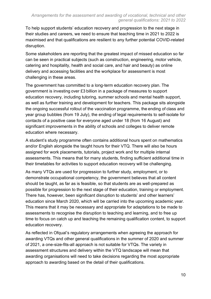To help support students' education recovery and progression to the next stage in their studies and careers, we need to ensure that teaching time in 2021 to 2022 is maximised and that qualifications are resilient to any further potential COVID-related disruption.

Some stakeholders are reporting that the greatest impact of missed education so far can be seen in practical subjects (such as construction, engineering, motor vehicle, catering and hospitality, health and social care, and hair and beauty) as online delivery and accessing facilities and the workplace for assessment is most challenging in these areas.

The government has committed to a long-term education recovery plan. The government is investing over £3 billion in a package of measures to support education recovery, including tutoring, summer schools and mental health support, as well as further training and development for teachers. This package sits alongside the ongoing successful rollout of the vaccination programme, the ending of class and year group bubbles (from 19 July), the ending of legal requirements to self-isolate for contacts of a positive case for everyone aged under 18 (from 16 August) and significant improvements in the ability of schools and colleges to deliver remote education where necessary.

A student's study programme often contains additional hours spent on mathematics and/or English alongside the taught hours for their VTQ. There will also be hours assigned for work placements, tutorials, project work and for multiple internal assessments. This means that for many students, finding sufficient additional time in their timetables for activities to support education recovery will be challenging.

As many VTQs are used for progression to further study, employment, or to demonstrate occupational competency, the government believes that all content should be taught, as far as is feasible, so that students are as well-prepared as possible for progression to the next stage of their education, training or employment. There has, however, been significant disruption to students' and other learners' education since March 2020, which will be carried into the upcoming academic year. This means that it may be necessary and appropriate for adaptations to be made to assessments to recognise the disruption to teaching and learning, and to free up time to focus on catch up and teaching the remaining qualification content, to support education recovery.

As reflected in Ofqual's regulatory arrangements when agreeing the approach for awarding VTQs and other general qualifications in the summer of 2020 and summer of 2021, a one-size-fits-all approach is not suitable for VTQs. The variety in assessment structures and delivery within the VTQ landscape will mean that awarding organisations will need to take decisions regarding the most appropriate approach to awarding based on the detail of their qualifications.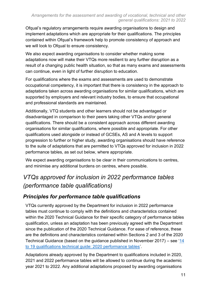Ofqual's regulatory arrangements require awarding organisations to design and implement adaptations which are appropriate for their qualifications. The principles contained within Ofqual's framework help to promote consistency of approach and we will look to Ofqual to ensure consistency.

We also expect awarding organisations to consider whether making some adaptations now will make their VTQs more resilient to any further disruption as a result of a changing public health situation, so that as many exams and assessments can continue, even in light of further disruption to education.

For qualifications where the exams and assessments are used to demonstrate occupational competency, it is important that there is consistency in the approach to adaptations taken across awarding organisations for similar qualifications, which are supported by employers and relevant industry bodies, to ensure that occupational and professional standards are maintained.

Additionally, VTQ students and other learners should not be advantaged or disadvantaged in comparison to their peers taking other VTQs and/or general qualifications. There should be a consistent approach across different awarding organisations for similar qualifications, where possible and appropriate. For other qualifications used alongside or instead of GCSEs, AS and A levels to support progression to further or higher study, awarding organisations should have reference to the suite of adaptations that are permitted to VTQs approved for inclusion in 2022 performance tables, as set out below, where appropriate.

We expect awarding organisations to be clear in their communications to centres, and minimise any additional burdens on centres, where possible.

# *VTQs approved for inclusion in 2022 performance tables (performance table qualifications)*

#### *Principles for performance table qualifications*

VTQs currently approved by the Department for inclusion in 2022 performance tables must continue to comply with the definitions and characteristics contained within the 2020 Technical Guidance for their specific category of performance tables qualification, unless an adaptation has been previously agreed with the Department since the publication of the 2020 Technical Guidance. For ease of reference, these are the definitions and characteristics contained within Sections 2 and 3 of the 2020 Technical Guidance (based on the guidance published in November 2017) – see ['14](https://www.gov.uk/government/publications/14-to-19-technical-and-applied-qualifications-technical-guidance#attachment_4537995)  [to 19 qualifications technical guide: 2020 performance tables'](https://www.gov.uk/government/publications/14-to-19-technical-and-applied-qualifications-technical-guidance#attachment_4537995).

Adaptations already approved by the Department to qualifications included in 2020, 2021 and 2022 performance tables will be allowed to continue during the academic year 2021 to 2022. Any additional adaptations proposed by awarding organisations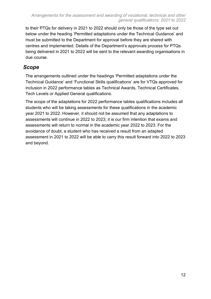to their PTQs for delivery in 2021 to 2022 should only be those of the type set out below under the heading 'Permitted adaptations under the Technical Guidance' and must be submitted to the Department for approval before they are shared with centres and implemented. Details of the Department's approvals process for PTQs being delivered in 2021 to 2022 will be sent to the relevant awarding organisations in due course.

#### *Scope*

The arrangements outlined under the headings 'Permitted adaptations under the Technical Guidance' and 'Functional Skills qualifications' are for VTQs approved for inclusion in 2022 performance tables as Technical Awards, Technical Certificates, Tech Levels or Applied General qualifications.

The scope of the adaptations for 2022 performance tables qualifications includes all students who will be taking assessments for these qualifications in the academic year 2021 to 2022. However, it should not be assumed that any adaptations to assessments will continue in 2022 to 2023; it is our firm intention that exams and assessments will return to normal in the academic year 2022 to 2023. For the avoidance of doubt, a student who has received a result from an adapted assessment in 2021 to 2022 will be able to carry this result forward into 2022 to 2023 and beyond.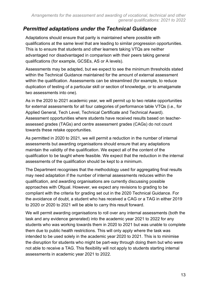#### *Permitted adaptations under the Technical Guidance*

Adaptations should ensure that parity is maintained where possible with qualifications at the same level that are leading to similar progression opportunities. This is to ensure that students and other learners taking VTQs are neither advantaged nor disadvantaged in comparison with their peers taking general qualifications (for example, GCSEs, AS or A levels).

Assessments may be adapted, but we expect to see the minimum thresholds stated within the Technical Guidance maintained for the amount of external assessment within the qualification. Assessments can be streamlined (for example, to reduce duplication of testing of a particular skill or section of knowledge, or to amalgamate two assessments into one).

As in the 2020 to 2021 academic year, we will permit up to two retake opportunities for external assessments for all four categories of performance table VTQs (i.e., for Applied General, Tech Level, Technical Certificate and Technical Award). Assessment opportunities where students have received results based on teacherassessed grades (TAGs) and centre assessment grades (CAGs) do not count towards these retake opportunities.

As permitted in 2020 to 2021, we will permit a reduction in the number of internal assessments but awarding organisations should ensure that any adaptations maintain the validity of the qualification. We expect all of the content of the qualification to be taught where feasible. We expect that the reduction in the internal assessments of the qualification should be kept to a minimum.

The Department recognises that the methodology used for aggregating final results may need adaptation if the number of internal assessments reduces within the qualification, and awarding organisations are currently discussing possible approaches with Ofqual. However, we expect any revisions to grading to be compliant with the criteria for grading set out in the 2020 Technical Guidance. For the avoidance of doubt, a student who has received a CAG or a TAG in either 2019 to 2020 or 2020 to 2021 will be able to carry this result forward.

We will permit awarding organisations to roll over any internal assessments (both the task and any evidence generated) into the academic year 2021 to 2022 for any students who was working towards them in 2020 to 2021 but was unable to complete them due to public health restrictions. This will only apply where the task was intended to be used solely in the academic year 2020 to 2021. This is to minimise the disruption for students who might be part-way through doing them but who were not able to receive a TAG. This flexibility will not apply to students starting internal assessments in academic year 2021 to 2022.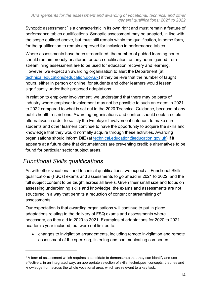Synoptic assessment <sup>1</sup>is a characteristic in its own right and must remain a feature of performance tables qualifications. Synoptic assessment may be adapted, in line with the scope outlined above, but must still remain within the qualification, in some form, for the qualification to remain approved for inclusion in performance tables.

Where assessments have been streamlined, the number of quided learning hours should remain broadly unaltered for each qualification, as any hours gained from streamlining assessment are to be used for education recovery and learning. However, we expect an awarding organisation to alert the Department (at [technical.education@education.gov.uk\)](mailto:technical.education@education.gov.uk) if they believe that the number of taught hours, either in person or online, for students and other learners would lessen significantly under their proposed adaptations.

In relation to employer involvement, we understand that there may be parts of industry where employer involvement may not be possible to such an extent in 2021 to 2022 compared to what is set out in the 2020 Technical Guidance, because of any public health restrictions. Awarding organisations and centres should seek credible alternatives in order to satisfy the Employer Involvement criterion, to make sure students and other learners continue to have the opportunity to acquire the skills and knowledge that they would normally acquire through these activities. Awarding organisations should inform DfE (at [technical.education@education.gov.uk\)](mailto:technical.education@education.gov.uk) if it appears at a future date that circumstances are preventing credible alternatives to be found for particular sector subject areas.

#### *Functional Skills qualifications*

As with other vocational and technical qualifications, we expect all Functional Skills qualifications (FSQs) exams and assessments to go ahead in 2021 to 2022, and the full subject content to be taught across all levels. Given their small size and focus on assessing underpinning skills and knowledge, the exams and assessments are not structured in a way that permits a reduction of content or streamlining of assessments.

Our expectation is that awarding organisations will continue to put in place adaptations relating to the delivery of FSQ exams and assessments where necessary, as they did in 2020 to 2021. Examples of adaptations for 2020 to 2021 academic year included, but were not limited to:

• changes to invigilation arrangements, including remote invigilation and remote assessment of the speaking, listening and communicating component

<sup>&</sup>lt;sup>1</sup> A form of assessment which requires a candidate to demonstrate that they can identify and use effectively, in an integrated way, an appropriate selection of skills, techniques, concepts, theories and knowledge from across the whole vocational area, which are relevant to a key task.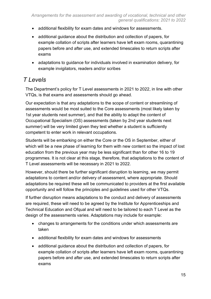- additional flexibility for exam dates and windows for assessments.
- additional guidance about the distribution and collection of papers, for example collation of scripts after learners have left exam rooms, quarantining papers before and after use, and extended timescales to return scripts after exams
- adaptations to guidance for individuals involved in examination delivery, for example invigilators, readers and/or scribes

## *T Levels*

The Department's policy for T Level assessments in 2021 to 2022, in line with other VTQs, is that exams and assessments should go ahead.

Our expectation is that any adaptations to the scope of content or streamlining of assessments would be most suited to the Core assessments (most likely taken by 1st year students next summer), and that the ability to adapt the content of Occupational Specialism (OS) assessments (taken by 2nd year students next summer) will be very limited given they test whether a student is sufficiently competent to enter work in relevant occupations.

Students will be embarking on either the Core or the OS in September, either of which will be a new phase of learning for them with new content so the impact of lost education from the previous year may be less significant than for other 16 to 19 programmes. It is not clear at this stage, therefore, that adaptations to the content of T Level assessments will be necessary in 2021 to 2022.

However, should there be further significant disruption to learning, we may permit adaptations to content and/or delivery of assessment, where appropriate. Should adaptations be required these will be communicated to providers at the first available opportunity and will follow the principles and guidelines used for other VTQs.

If further disruption means adaptations to the conduct and delivery of assessments are required, these will need to be agreed by the Institute for Apprenticeships and Technical Education and Ofqual and will need to be tailored to each T Level as the design of the assessments varies. Adaptations may include for example:

- changes to arrangements for the conditions under which assessments are taken
- additional flexibility for exam dates and windows for assessments
- additional guidance about the distribution and collection of papers, for example collation of scripts after learners have left exam rooms, quarantining papers before and after use, and extended timescales to return scripts after exams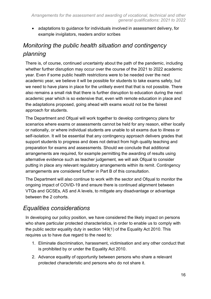• adaptations to guidance for individuals involved in assessment delivery, for example invigilators, readers and/or scribes

# *Monitoring the public health situation and contingency planning*

There is, of course, continued uncertainty about the path of the pandemic, including whether further disruption may occur over the course of the 2021 to 2022 academic year. Even if some public health restrictions were to be needed over the next academic year, we believe it will be possible for students to take exams safely, but we need to have plans in place for the unlikely event that that is not possible. There also remains a small risk that there is further disruption to education during the next academic year which is so extensive that, even with remote education in place and the adaptations proposed, going ahead with exams would not be the fairest approach for students.

The Department and Ofqual will work together to develop contingency plans for scenarios where exams or assessments cannot be held for any reason, either locally or nationally, or where individual students are unable to sit exams due to illness or self-isolation. It will be essential that any contingency approach delivers grades that support students to progress and does not detract from high quality teaching and preparation for exams and assessments. Should we conclude that additional arrangements are required, for example permitting the awarding of results using alternative evidence such as teacher judgement*,* we will ask Ofqual to consider putting in place any relevant regulatory arrangements within its remit. Contingency arrangements are considered further in Part B of this consultation.

The Department will also continue to work with the sector and Ofqual to monitor the ongoing impact of COVID-19 and ensure there is continued alignment between VTQs and GCSEs, AS and A levels, to mitigate any disadvantage or advantage between the 2 cohorts.

#### *Equalities considerations*

In developing our policy position, we have considered the likely impact on persons who share particular protected characteristics, in order to enable us to comply with the public sector equality duty in section 149(1) of the Equality Act 2010. This requires us to have due regard to the need to:

- 1. Eliminate discrimination, harassment, victimisation and any other conduct that is prohibited by or under the Equality Act 2010.
- 2. Advance equality of opportunity between persons who share a relevant protected characteristic and persons who do not share it.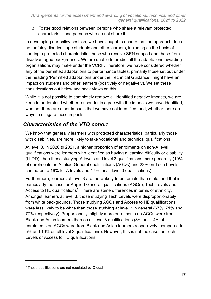3. Foster good relations between persons who share a relevant protected characteristic and persons who do not share it.

In developing our policy position, we have sought to ensure that the approach does not unfairly disadvantage students and other learners, including on the basis of sharing a protected characteristic, those who receive SEN support and those from disadvantaged backgrounds. We are unable to predict all the adaptations awarding organisations may make under the VCRF. Therefore. we have considered whether any of the permitted adaptations to performance tables, primarily those set out under the heading 'Permitted adaptations under the Technical Guidance', might have an impact on students and other learners (positively or negatively). We set these considerations out below and seek views on this.

While it is not possible to completely remove all identified negative impacts, we are keen to understand whether respondents agree with the impacts we have identified, whether there are other impacts that we have not identified, and, whether there are ways to mitigate these impacts.

#### *Characteristics of the VTQ cohort*

We know that generally learners with protected characteristics, particularly those with disabilities, are more likely to take vocational and technical qualifications.

At level 3, in 2020 to 2021, a higher proportion of enrolments on non-A level qualifications were learners who identified as having a learning difficulty or disability (LLDD), than those studying A levels and level 3 qualifications more generally (19% of enrolments on Applied General qualifications (AGQs) and 23% on Tech Levels, compared to 16% for A levels and 17% for all level 3 qualifications).

Furthermore, learners at level 3 are more likely to be female than male, and that is particularly the case for Applied General qualifications (AGQs), Tech Levels and Access to HE qualifications<sup>2</sup>. There are some differences in terms of ethnicity. Amongst learners at level 3, those studying Tech Levels were disproportionately from white backgrounds. Those studying AGQs and Access to HE qualifications were less likely to be white than those studying at level 3 in general (67%, 71% and 77% respectively). Proportionally, slightly more enrolments on AGQs were from Black and Asian learners than on all level 3 qualifications (8% and 14% of enrolments on AGQs were from Black and Asian learners respectively, compared to 5% and 10% on all level 3 qualifications). However, this is not the case for Tech Levels or Access to HE qualifications.

<sup>&</sup>lt;sup>2</sup> These qualifications are not regulated by Ofqual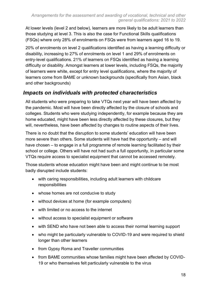At lower levels (level 2 and below), learners are more likely to be adult learners than those studying at level 3. This is also the case for Functional Skills qualifications (FSQs) where only 28% of enrolments on FSQs were from learners aged 16 to 19.

20% of enrolments on level 2 qualifications identified as having a learning difficulty or disability, increasing to 27% of enrolments on level 1 and 29% of enrolments on entry-level qualifications. 21% of learners on FSQs identified as having a learning difficulty or disability. Amongst learners at lower levels, including FSQs, the majority of learners were white, except for entry level qualifications, where the majority of learners come from BAME or unknown backgrounds (specifically from Asian, black and other backgrounds)

#### *Impacts on individuals with protected characteristics*

All students who were preparing to take VTQs next year will have been affected by the pandemic. Most will have been directly affected by the closure of schools and colleges. Students who were studying independently, for example because they are home educated, might have been less directly affected by these closures, but they will, nevertheless, have been affected by changes to routine aspects of their lives.

There is no doubt that the disruption to some students' education will have been more severe than others. Some students will have had the opportunity – and will have chosen – to engage in a full programme of remote learning facilitated by their school or college. Others will have not had such a full opportunity, in particular some VTQs require access to specialist equipment that cannot be accessed remotely.

Those students whose education might have been and might continue to be most badly disrupted include students:

- with caring responsibilities, including adult learners with childcare responsibilities
- whose homes are not conducive to study
- without devices at home (for example computers)
- with limited or no access to the internet
- without access to specialist equipment or software
- with SEND who have not been able to access their normal learning support
- who might be particularly vulnerable to COVID-19 and were required to shield longer than other learners
- from Gypsy Roma and Traveller communities
- from BAME communities whose families might have been affected by COVID-19 or who themselves felt particularly vulnerable to the virus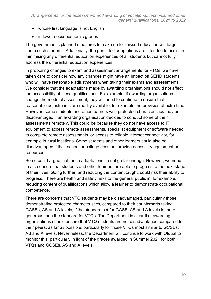- whose first language is not English
- in lower socio-economic groups

The government's planned measures to make up for missed education will target some such students. Additionally, the permitted adaptations are intended to assist in minimising any differential education experiences of all students but cannot fully address the differential education experiences.

In proposing changes to exam and assessment arrangements for PTQs, we have taken care to consider how any changes might have an impact on SEND students who will have reasonable adjustments when taking their exams and assessments. We consider that the adaptations made by awarding organisations should not affect the accessibility of these qualifications. For example, if awarding organisations change the mode of assessment, they will need to continue to ensure that reasonable adjustments are readily available, for example the provision of extra time. However, some students and other learners with protected characteristics may be disadvantaged if an awarding organisation decides to conduct some of their assessments remotely. This could be because they do not have access to IT equipment to access remote assessments, specialist equipment or software needed to complete remote assessments, or access to reliable internet connectivity, for example in rural locations. Some students and other learners could also be disadvantaged if their school or college does not provide necessary equipment or resources.

Some could argue that these adaptations do not go far enough. However, we need to also ensure that students and other learners are able to progress to the next stage of their lives. Going further, and reducing the content taught, could risk their ability to progress. There are health and safety risks to the general public in, for example, reducing content of qualifications which allow a learner to demonstrate occupational competence.

There are concerns that VTQ students may be disadvantaged, particularly those demonstrating protected characteristics, compared to their counterparts taking GCSEs, AS and A levels, if the standard set for GCSE, AS and A levels is more generous than the standard for VTQs. The Department is clear that awarding organisations should ensure that VTQ students are not disadvantaged compared to their peers, as far as possible, particularly for those VTQs most similar to GCSEs, AS and A levels. Nevertheless, the Department will continue to work with Ofqual to monitor this, particularly in light of the grades awarded in Summer 2021 for both VTQs and GCSEs, AS and A levels.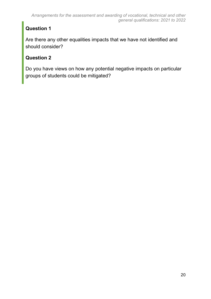### **Question 1**

Are there any other equalities impacts that we have not identified and should consider?

#### **Question 2**

<span id="page-19-0"></span>Do you have views on how any potential negative impacts on particular groups of students could be mitigated?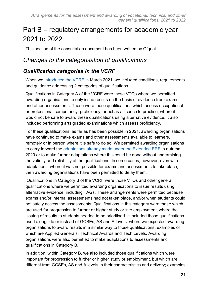# Part B – regulatory arrangements for academic year 2021 to 2022

This section of the consultation document has been written by Ofqual.

#### *Changes to the categorisation of qualifications*

#### *Qualification categories in the VCRF*

When we [introduced the VCRF](https://www.gov.uk/government/publications/vocational-and-technical-qualifications-contingency-regulatory-framework) in March 2021, we included conditions, requirements and guidance addressing 2 categories of qualifications.

Qualifications in Category A of the VCRF were those VTQs where we permitted awarding organisations to only issue results on the basis of evidence from exams and other assessments. These were those qualifications which assess occupational or professional competency, proficiency, or act as a licence to practise, where it would not be safe to award these qualifications using alternative evidence. It also included performing arts graded examinations which assess proficiency.

For these qualifications, as far as has been possible in 2021, awarding organisations have continued to make exams and other assessments available to learners, remotely or in person where it is safe to do so. We permitted awarding organisations to carry forward the [adaptations already made under the Extended ERF](https://www.gov.uk/government/publications/extraordinary-regulatory-framework-vtq-covid-19-conditions-and-requirements) in autumn 2020 or to make further adaptations where this could be done without undermining the validity and reliability of the qualifications. In some cases, however, even with adaptations, where it was not possible for exams and assessments to take place, then awarding organisations have been permitted to delay them.

Qualifications in Category B of the VCRF were those VTQs and other general qualifications where we permitted awarding organisations to issue results using alternative evidence, including TAGs. These arrangements were permitted because exams and/or internal assessments had not taken place, and/or when students could not safely access the assessments. Qualifications in this category were those which are used for progression to further or higher study or into employment, where the issuing of results to students needed to be prioritised. It included those qualifications used alongside or instead of GCSEs, AS and A levels, where we expected awarding organisations to award results in a similar way to those qualifications, examples of which are Applied Generals, Technical Awards and Tech Levels. Awarding organisations were also permitted to make adaptations to assessments and qualifications in Category B.

In addition, within Category B, we also included those qualifications which were important for progression to further or higher study or employment, but which are different from GCSEs, AS and A levels in their characteristics and delivery; examples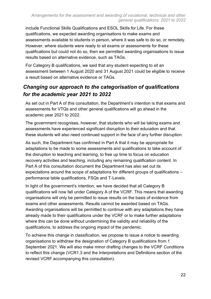include Functional Skills Qualifications and ESOL Skills for Life. For these qualifications, we expected awarding organisations to make exams and assessments available to students in person, where it was safe to do so, or remotely. However, where students were ready to sit exams or assessments for these qualifications but could not do so, then we permitted awarding organisations to issue results based on alternative evidence, such as TAGs.

For Category B qualifications, we said that any student expecting to sit an assessment between 1 August 2020 and 31 August 2021 could be eligible to receive a result based on alternative evidence or TAGs.

#### *Changing our approach to the categorisation of qualifications for the academic year 2021 to 2022*

As set out in Part A of this consultation, the Department's intention is that exams and assessments for VTQs and other general qualifications will go ahead in the academic year 2021 to 2022.

The government recognises, however, that students who will be taking exams and assessments have experienced significant disruption to their education and that these students will also need continued support in the face of any further disruption.

As such, the Department has confirmed in Part A that it may be appropriate for adaptations to be made to some assessments and qualifications to take account of the disruption to teaching and learning, to free up time to focus on education recovery activities and teaching, including any remaining qualification content. In Part A of this consultation document the Department has also set out its expectations around the scope of adaptations for different groups of qualifications – performance table qualifications, FSQs and T-Levels.

In light of the government's intention, we have decided that all Category B qualifications will now fall under Category A of the VCRF. This means that awarding organisations will only be permitted to issue results on the basis of evidence from exams and other assessments. Results cannot be awarded based on TAGs. Awarding organisations will be permitted to continue with any adaptations they have already made to their qualifications under the VCRF or to make further adaptations where this can be done without undermining the validity and reliability of the qualifications, to address the ongoing impact of the pandemic.

To achieve this change in classification, we propose to issue a notice to awarding organisations to withdraw the designation of Category B qualifications from 1 September 2021. We will also make minor drafting changes to the VCRF Conditions to reflect this change (VCR1.3 and the Interpretations and Definitions section of the revised VCRF accompanying this consultation).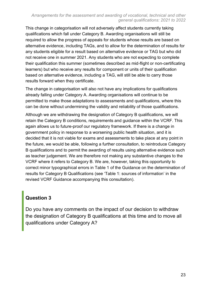#### *Arrangements for the assessment and awarding of vocational, technical and other general qualifications: 2021 to 2022*

This change in categorisation will not adversely affect students currently taking qualifications which fall under Category B. Awarding organisations will still be required to allow the progress of appeals for students whose results are based on alternative evidence, including TAGs, and to allow for the determination of results for any students eligible for a result based on alternative evidence or TAG but who did not receive one in summer 2021. Any students who are not expecting to complete their qualification this summer (sometimes described as mid-flight or non-certificating learners) but who receive any results for component or units of their qualification based on alternative evidence, including a TAG, will still be able to carry those results forward when they certificate.

The change in categorisation will also not have any implications for qualifications already falling under Category A. Awarding organisations will continue to be permitted to make those adaptations to assessments and qualifications, where this can be done without undermining the validity and reliability of those qualifications.

Although we are withdrawing the designation of Category B qualifications, we will retain the Category B conditions, requirements and guidance within the VCRF. This again allows us to future-proof our regulatory framework. If there is a change in government policy in response to a worsening public health situation, and it is decided that it is not viable for exams and assessments to take place at any point in the future, we would be able, following a further consultation, to reintroduce Category B qualifications and to permit the awarding of results using alternative evidence such as teacher judgement. We are therefore not making any substantive changes to the VCRF where it refers to Category B. We are, however, taking this opportunity to correct minor typographical errors in Table 1 of the Guidance on the determination of results for Category B Qualifications (see 'Table 1: sources of information' in the revised VCRF Guidance accompanying this consultation).

#### **Question 3**

Do you have any comments on the impact of our decision to withdraw the designation of Category B qualifications at this time and to move all qualifications under Category A?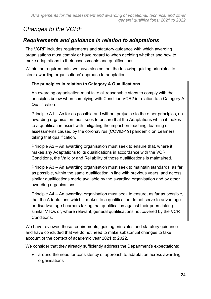# *Changes to the VCRF*

#### *Requirements and guidance in relation to adaptations*

The VCRF includes requirements and statutory guidance with which awarding organisations must comply or have regard to when deciding whether and how to make adaptations to their assessments and qualifications.

Within the requirements, we have also set out the following guiding principles to steer awarding organisations' approach to adaptation.

#### **The principles in relation to Category A Qualifications**

An awarding organisation must take all reasonable steps to comply with the principles below when complying with Condition VCR2 in relation to a Category A Qualification.

Principle A1 – As far as possible and without prejudice to the other principles, an awarding organisation must seek to ensure that the Adaptations which it makes to a qualification assist with mitigating the impact on teaching, learning or assessments caused by the coronavirus (COVID-19) pandemic on Learners taking that qualification.

Principle A2 – An awarding organisation must seek to ensure that, where it makes any Adaptations to its qualifications in accordance with the VCR Conditions, the Validity and Reliability of those qualifications is maintained.

Principle A3 – An awarding organisation must seek to maintain standards, as far as possible, within the same qualification in line with previous years, and across similar qualifications made available by the awarding organisation and by other awarding organisations.

Principle A4 – An awarding organisation must seek to ensure, as far as possible, that the Adaptations which it makes to a qualification do not serve to advantage or disadvantage Learners taking that qualification against their peers taking similar VTQs or, where relevant, general qualifications not covered by the VCR Conditions.

We have reviewed these requirements, guiding principles and statutory guidance and have concluded that we do not need to make substantial changes to take account of the context of academic year 2021 to 2022.

We consider that they already sufficiently address the Department's expectations:

• around the need for consistency of approach to adaptation across awarding organisations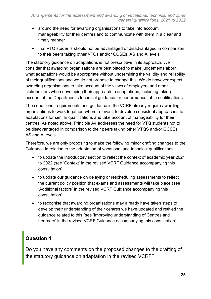- around the need for awarding organisations to take into account manageability for their centres and to communicate with them in a clear and timely manner
- that VTQ students should not be advantaged or disadvantaged in comparison to their peers taking other VTQs and/or GCSEs, AS and A levels

The statutory guidance on adaptations is not prescriptive in its approach. We consider that awarding organisations are best placed to make judgements about what adaptations would be appropriate without undermining the validity and reliability of their qualifications and we do not propose to change this. We do however expect awarding organisations to take account of the views of employers and other stakeholders when developing their approach to adaptations, including taking account of the Department's technical guidance for performance table qualifications.

The conditions, requirements and guidance in the VCRF already require awarding organisations to work together, where relevant, to develop consistent approaches to adaptations for similar qualifications and take account of manageability for their centres. As noted above, Principle A4 addresses the need for VTQ students not to be disadvantaged in comparison to their peers taking other VTQS and/or GCSEs, AS and A levels.

Therefore, we are only proposing to make the following minor drafting changes to the Guidance in relation to the adaptation of vocational and technical qualifications:

- to update the introductory section to reflect the context of academic year 2021 to 2022 (see 'Context' in the revised VCRF Guidance accompanying this consultation)
- to update our guidance on delaying or rescheduling assessments to reflect the current policy position that exams and assessments will take place (see 'Additional factors' in the revised VCRF Guidance accompanying this consultation)
- to recognise that awarding organisations may already have taken steps to develop their understanding of their centres we have updated and retitled the guidance related to this (see 'Improving understanding of Centres and Learners' in the revised VCRF Guidance accompanying this consultation)

#### **Question 4**

Do you have any comments on the proposed changes to the drafting of the statutory guidance on adaptation in the revised VCRF?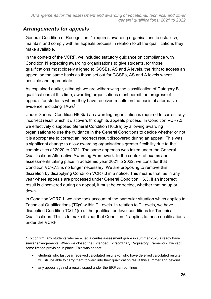#### *Arrangements for appeals*

General Condition of Recognition I1 requires awarding organisations to establish, maintain and comply with an appeals process in relation to all the qualifications they make available.

In the context of the VCRF, we included statutory guidance on compliance with Condition I1 expecting awarding organisations to give students, for those qualifications most closely aligned to GCSEs, AS and A levels, the right to access an appeal on the same basis as those set out for GCSEs, AS and A levels where possible and appropriate.

As explained earlier, although we are withdrawing the classification of Category B qualifications at this time, awarding organisations must permit the progress of appeals for students where they have received results on the basis of alternative evidence, including TAGs<sup>3</sup>.

Under General Condition H6.3(a) an awarding organisation is required to correct any incorrect result which it discovers through its appeals process. In Condition VCR7.3 we effectively disapplied General Condition H6.3(a) by allowing awarding organisations to use the guidance in the General Conditions to decide whether or not it is appropriate to correct an incorrect result discovered during an appeal. This was a significant change to allow awarding organisations greater flexibility due to the complexities of 2020 to 2021. The same approach was taken under the General Qualifications Alternative Awarding Framework. In the context of exams and assessments taking place in academic year 2021 to 2022, we consider that Condition VCR7.3 is no longer necessary. We are proposing to remove this discretion by disapplying Condition VCR7.3 in a notice. This means that, as in any year where appeals are processed under General Condition H6.3, if an incorrect result is discovered during an appeal, it must be corrected, whether that be up or down.

In Condition VCR7.1, we also took account of the particular situation which applies to Technical Qualifications (TQs) within T Levels. In relation to T Levels, we have disapplied Condition TQ1.1(c) of the qualification-level conditions for Technical Qualifications. This is to make it clear that Condition I1 applies to these qualifications under the VCRF.

 $3$  To confirm, any students who received a centre assessment grade in summer 2020 already have similar arrangements. When we closed the Extended Extraordinary Regulatory Framework, we kept some limited provision in place. This was so that:

<sup>•</sup> students who last year received calculated results (or who have deferred calculated results) will still be able to carry them forward into their qualification result this summer and beyond

<sup>•</sup> any appeal against a result issued under the ERF can continue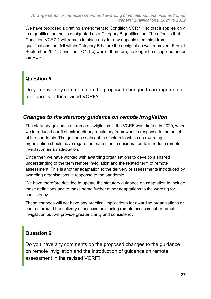We have proposed a drafting amendment to Condition VCR7.1 so that it applies only to a qualification that is designated as a Category B qualification. The effect is that Condition VCR7.1 will remain in place only for any appeals stemming from qualifications that fell within Category B before the designation was removed. From 1 September 2021, Condition TQ1.1(c) would, therefore, no longer be disapplied under the VCRF.

#### **Question 5**

Do you have any comments on the proposed changes to arrangements for appeals in the revised VCRF?

#### *Changes to the statutory guidance on remote invigilation*

The statutory guidance on remote invigilation in the VCRF was drafted in 2020, when we introduced our first extraordinary regulatory framework in response to the onset of the pandemic. The guidance sets out the factors to which an awarding organisation should have regard, as part of their consideration to introduce remote invigilation as an adaptation.

Since then we have worked with awarding organisations to develop a shared understanding of the term remote invigilation and the related term of remote assessment. This is another adaptation to the delivery of assessments introduced by awarding organisations in response to the pandemic.

We have therefore decided to update the statutory guidance on adaptation to include these definitions and to make some further minor adaptations to the wording for consistency.

These changes will not have any practical implications for awarding organisations or centres around the delivery of assessments using remote assessment or remote invigilation but will provide greater clarity and consistency.

#### **Question 6**

Do you have any comments on the proposed changes to the guidance on remote invigilation and the introduction of guidance on remote assessment in the revised VCRF?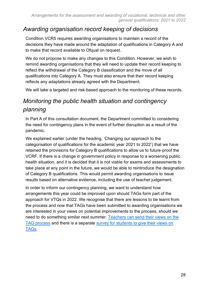#### *Awarding organisation record keeping of decisions*

Condition VCR5 requires awarding organisations to maintain a record of the decisions they have made around the adaptation of qualifications in Category A and to make that record available to Ofqual on request.

We do not propose to make any changes to this Condition. However, we wish to remind awarding organisations that they will need to update their record keeping to reflect the withdrawal of the Category B classification and the move of all qualifications into Category A. They must also ensure that their record keeping reflects any adaptations already agreed with the Department.

We will take a targeted and risk-based approach to the monitoring of these records.

# *Monitoring the public health situation and contingency planning*

In Part A of this consultation document, the Department committed to considering the need for contingency plans in the event of further disruption as a result of the pandemic.

We explained earlier (under the heading, 'Changing our approach to the categorisation of qualifications for the academic year 2021 to 2022') that we have retained the provisions for Category B qualifications to allow us to future-proof the VCRF. If there is a change in government policy in response to a worsening public health situation, and it is decided that it is not viable for exams and assessments to take place at any point in the future, we would be able to reintroduce the designation of Category B qualifications. This would permit awarding organisations to issue results based on alternative evidence, including the use of teacher judgement.

In order to inform our contingency planning, we want to understand how arrangements this year could be improved upon should TAGs form part of the approach for VTQs in 2022. We recognise that there are lessons to be learnt from the process and now that TAGs have been submitted to awarding organisations we are interested in your views on potential improvements to the process, should we need to do something similar next summer. [Teachers can send their views](https://ofqual.citizenspace.com/public/a75143c3/) on the [TAG process](https://ofqual.citizenspace.com/public/a75143c3/) and there is a separate [survey for students to give their views on](https://ofqual.citizenspace.com/public/6b36e360/)  [TAGs.](https://ofqual.citizenspace.com/public/6b36e360/)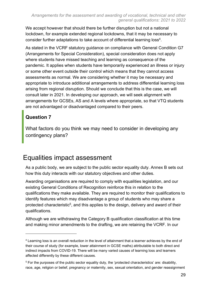We accept however that should there be further disruption but not a national lockdown, for example extended regional lockdowns, that it may be necessary to consider further adaptations to take account of differential learning loss<sup>4</sup>.

As stated in the VCRF statutory guidance on compliance with General Condition G7 (Arrangements for Special Consideration), special consideration does not apply where students have missed teaching and learning as consequence of the pandemic. It applies when students have temporarily experienced an illness or injury or some other event outside their control which means that they cannot access assessments as normal. We are considering whether it may be necessary and appropriate to introduce additional arrangements to address differential learning loss arising from regional disruption. Should we conclude that this is the case, we will consult later in 2021. In developing our approach, we will seek alignment with arrangements for GCSEs, AS and A levels where appropriate, so that VTQ students are not advantaged or disadvantaged compared to their peers.

#### **Question 7**

What factors do you think we may need to consider in developing any contingency plans?

# <span id="page-28-0"></span>Equalities impact assessment

As a public body, we are subject to the public sector equality duty. Annex B sets out how this duty interacts with our statutory objectives and other duties.

Awarding organisations are required to comply with equalities legislation, and our existing General Conditions of Recognition reinforce this in relation to the qualifications they make available. They are required to monitor their qualifications to identify features which may disadvantage a group of students who may share a protected characteristic<sup>5</sup>, and this applies to the design, delivery and award of their qualifications.

Although we are withdrawing the Category B qualification classification at this time and making minor amendments to the drafting, we are retaining the VCRF. In our

<sup>4</sup> Learning loss is an overall reduction in the level of attainment that a learner achieves by the end of their course of study (for example, lower attainment in GCSE maths) attributable to both direct and indirect impacts from COVID-19. There will be many varied causes of learning loss and learners affected differently by these different causes.

<sup>5</sup> For the purposes of the public sector equality duty, the 'protected characteristics' are: disability, race, age, religion or belief, pregnancy or maternity, sex, sexual orientation, and gender reassignment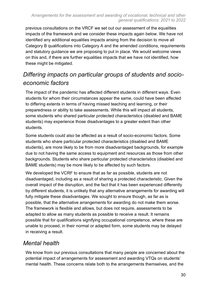previous consultations on the VRCF we set out our assessment of the equalities impacts of the framework and we consider these impacts again below. We have not identified any additional equalities impacts arising from the decision to move all Category B qualifications into Category A and the amended conditions, requirements and statutory guidance we are proposing to put in place. We would welcome views on this and, if there are further equalities impacts that we have not identified, how these might be mitigated.

## *Differing impacts on particular groups of students and socioeconomic factors*

The impact of the pandemic has affected different students in different ways. Even students for whom their circumstances appear the same, could have been affected to differing extents in terms of having missed teaching and learning, or their preparedness or ability to take assessments. While this will impact all students, some students who shared particular protected characteristics (disabled and BAME students) may experience those disadvantages to a greater extent than other students.

Some students could also be affected as a result of socio-economic factors. Some students who share particular protected characteristics (disabled and BAME students), are more likely to be from more disadvantaged backgrounds, for example due to not having the same access to equipment and resources as those from other backgrounds. Students who share particular protected characteristics (disabled and BAME students) may be more likely to be affected by such factors.

We developed the VCRF to ensure that as far as possible, students are not disadvantaged, including as a result of sharing a protected characteristic. Given the overall impact of the disruption, and the fact that it has been experienced differently by different students, it is unlikely that any alternative arrangements for awarding will fully mitigate these disadvantages. We sought to ensure though, as far as is possible, that the alternative arrangements for awarding do not make them worse. The framework is flexible and allows, but does not require, assessments to be adapted to allow as many students as possible to receive a result. It remains possible that for qualifications signifying occupational competence, where these are unable to proceed, in their normal or adapted form, some students may be delayed in receiving a result.

### *Mental health*

We know from our previous consultations that many people are concerned about the potential impact of arrangements for assessment and awarding VTQs on students' mental health. These concerns relate both to the arrangements themselves, and the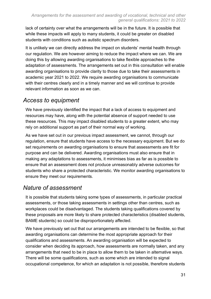lack of certainty over what the arrangements will be in the future. It is possible that while these impacts will apply to many students, it could be greater on disabled students with conditions such as autistic spectrum disorders.

It is unlikely we can directly address the impact on students' mental health through our regulation. We are however aiming to reduce the impact where we can. We are doing this by allowing awarding organisations to take flexible approaches to the adaptation of assessments. The arrangements set out in this consultation will enable awarding organisations to provide clarity to those due to take their assessments in academic year 2021 to 2022. We require awarding organisations to communicate with their centres clearly and in a timely manner and we will continue to provide relevant information as soon as we can.

## *Access to equipment*

We have previously identified the impact that a lack of access to equipment and resources may have, along with the potential absence of support needed to use these resources. This may impact disabled students to a greater extent, who may rely on additional support as part of their normal way of working.

As we have set out in our previous impact assessment, we cannot, through our regulation, ensure that students have access to the necessary equipment. But we do set requirements on awarding organisations to ensure that assessments are fit for purpose and can be delivered. Awarding organisations must also ensure that in making any adaptations to assessments, it minimises bias as far as is possible to ensure that an assessment does not produce unreasonably adverse outcomes for students who share a protected characteristic. We monitor awarding organisations to ensure they meet our requirements.

### *Nature of assessment*

It is possible that students taking some types of assessments, in particular practical assessments, or those taking assessments in settings other than centres, such as workplaces could be disadvantaged. The students taking qualifications covered by these proposals are more likely to share protected characteristics (disabled students, BAME students) so could be disproportionately affected.

We have previously set out that our arrangements are intended to be flexible, so that awarding organisations can determine the most appropriate approach for their qualifications and assessments. An awarding organisation will be expected to consider when deciding its approach, how assessments are normally taken, and any arrangements that need to be in place to allow them to be taken in alternative ways. There will be some qualifications, such as some which are intended to signal occupational competence, for which an adaptation is not possible, therefore students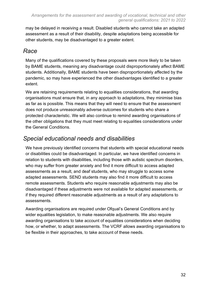may be delayed in receiving a result. Disabled students who cannot take an adapted assessment as a result of their disability, despite adaptations being accessible for other students, may be disadvantaged to a greater extent.

#### *Race*

Many of the qualifications covered by these proposals were more likely to be taken by BAME students, meaning any disadvantage could disproportionately affect BAME students. Additionally, BAME students have been disproportionately affected by the pandemic, so may have experienced the other disadvantages identified to a greater extent.

We are retaining requirements relating to equalities considerations, that awarding organisations must ensure that, in any approach to adaptations, they minimise bias as far as is possible. This means that they will need to ensure that the assessment does not produce unreasonably adverse outcomes for students who share a protected characteristic. We will also continue to remind awarding organisations of the other obligations that they must meet relating to equalities considerations under the General Conditions.

## *Special educational needs and disabilities*

We have previously identified concerns that students with special educational needs or disabilities could be disadvantaged. In particular, we have identified concerns in relation to students with disabilities, including those with autistic spectrum disorders, who may suffer from greater anxiety and find it more difficult to access adapted assessments as a result, and deaf students, who may struggle to access some adapted assessments. SEND students may also find it more difficult to access remote assessments. Students who require reasonable adjustments may also be disadvantaged if these adjustments were not available for adapted assessments, or if they required different reasonable adjustments as a result of any adaptations to assessments.

Awarding organisations are required under Ofqual's General Conditions and by wider equalities legislation, to make reasonable adjustments. We also require awarding organisations to take account of equalities considerations when deciding how, or whether, to adapt assessments. The VCRF allows awarding organisations to be flexible in their approaches, to take account of these needs.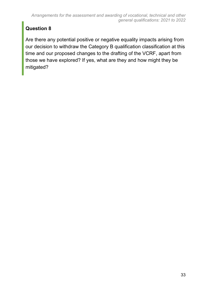### **Question 8**

Are there any potential positive or negative equality impacts arising from our decision to withdraw the Category B qualification classification at this time and our proposed changes to the drafting of the VCRF, apart from those we have explored? If yes, what are they and how might they be mitigated?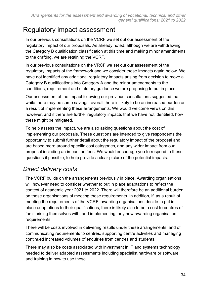# <span id="page-33-0"></span>Regulatory impact assessment

In our previous consultations on the VCRF we set out our assessment of the regulatory impact of our proposals. As already noted, although we are withdrawing the Category B qualification classification at this time and making minor amendments to the drafting, we are retaining the VCRF.

In our previous consultations on the VRCF we set out our assessment of the regulatory impacts of the framework and we consider these impacts again below. We have not identified any additional regulatory impacts arising from decision to move all Category B qualifications into Category A and the minor amendments to the conditions, requirement and statutory guidance we are proposing to put in place.

Our assessment of the impact following our previous consultations suggested that while there may be some savings, overall there is likely to be an increased burden as a result of implementing these arrangements. We would welcome views on this however, and if there are further regulatory impacts that we have not identified, how these might be mitigated.

To help assess the impact, we are also asking questions about the cost of implementing our proposals. These questions are intended to give respondents the opportunity to submit further detail about the regulatory impact of the proposal and are based more around specific cost categories, and any wider impact from our proposal including an impact on fees. We would encourage you to respond to these questions if possible, to help provide a clear picture of the potential impacts.

### *Direct delivery costs*

The VCRF builds on the arrangements previously in place. Awarding organisations will however need to consider whether to put in place adaptations to reflect the context of academic year 2021 to 2022. There will therefore be an additional burden on these organisations of meeting these requirements. In addition, if, as a result of meeting the requirements of the VCRF, awarding organisations decide to put in place adaptations to their qualifications, there is likely also to be a cost to centres of familiarising themselves with, and implementing, any new awarding organisation requirements.

There will be costs involved in delivering results under these arrangements, and of communicating requirements to centres, supporting centre activities and managing continued increased volumes of enquiries from centres and students.

There may also be costs associated with investment in IT and systems technology needed to deliver adapted assessments including specialist hardware or software and training in how to use these.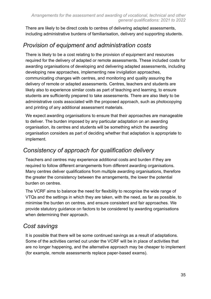There are likely to be direct costs to centres of delivering adapted assessments, including administrative burdens of familiarisation, delivery and supporting students.

## *Provision of equipment and administration costs*

There is likely to be a cost relating to the provision of equipment and resources required for the delivery of adapted or remote assessments. These included costs for awarding organisations of developing and delivering adapted assessments, including developing new approaches, implementing new invigilation approaches, communicating changes with centres, and monitoring and quality assuring the delivery of remote or adapted assessments. Centres, teachers and students are likely also to experience similar costs as part of teaching and learning, to ensure students are sufficiently prepared to take assessments. There are also likely to be administrative costs associated with the proposed approach, such as photocopying and printing of any additional assessment materials.

We expect awarding organisations to ensure that their approaches are manageable to deliver. The burden imposed by any particular adaptation on an awarding organisation, its centres and students will be something which the awarding organisation considers as part of deciding whether that adaptation is appropriate to implement.

### *Consistency of approach for qualification delivery*

Teachers and centres may experience additional costs and burden if they are required to follow different arrangements from different awarding organisations. Many centres deliver qualifications from multiple awarding organisations, therefore the greater the consistency between the arrangements, the lower the potential burden on centres.

The VCRF aims to balance the need for flexibility to recognise the wide range of VTQs and the settings in which they are taken, with the need, as far as possible, to minimise the burden on centres, and ensure consistent and fair approaches. We provide statutory guidance on factors to be considered by awarding organisations when determining their approach.

## *Cost savings*

It is possible that there will be some continued savings as a result of adaptations. Some of the activities carried out under the VCRF will be in place of activities that are no longer happening, and the alternative approach may be cheaper to implement (for example, remote assessments replace paper-based exams).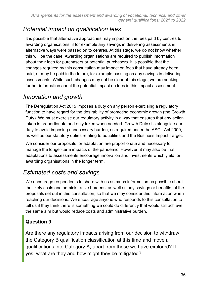## *Potential impact on qualification fees*

It is possible that alternative approaches may impact on the fees paid by centres to awarding organisations, if for example any savings in delivering assessments in alternative ways were passed on to centres. At this stage, we do not know whether this will be the case. Awarding organisations are required to publish information about their fees for purchasers or potential purchasers. It is possible that the changes required by this consultation may impact on fees that have already been paid, or may be paid in the future, for example passing on any savings in delivering assessments. While such changes may not be clear at this stage, we are seeking further information about the potential impact on fees in this impact assessment.

### *Innovation and growth*

The Deregulation Act 2015 imposes a duty on any person exercising a regulatory function to have regard for the desirability of promoting economic growth (the Growth Duty). We must exercise our regulatory activity in a way that ensures that any action taken is proportionate and only taken when needed. Growth Duty sits alongside our duty to avoid imposing unnecessary burden, as required under the ASCL Act 2009, as well as our statutory duties relating to equalities and the Business Impact Target.

We consider our proposals for adaptation are proportionate and necessary to manage the longer-term impacts of the pandemic. However, it may also be that adaptations to assessments encourage innovation and investments which yield for awarding organisations in the longer term.

# *Estimated costs and savings*

We encourage respondents to share with us as much information as possible about the likely costs and administrative burdens, as well as any savings or benefits, of the proposals set out in this consultation, so that we may consider this information when reaching our decisions. We encourage anyone who responds to this consultation to tell us if they think there is something we could do differently that would still achieve the same aim but would reduce costs and administrative burden.

### **Question 9**

Are there any regulatory impacts arising from our decision to withdraw the Category B qualification classification at this time and move all qualifications into Category A, apart from those we have explored? If yes, what are they and how might they be mitigated?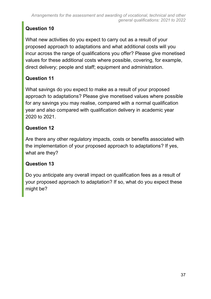## **Question 10**

What new activities do you expect to carry out as a result of your proposed approach to adaptations and what additional costs will you incur across the range of qualifications you offer? Please give monetised values for these additional costs where possible, covering, for example, direct delivery; people and staff; equipment and administration.

#### **Question 11**

What savings do you expect to make as a result of your proposed approach to adaptations? Please give monetised values where possible for any savings you may realise, compared with a normal qualification year and also compared with qualification delivery in academic year 2020 to 2021.

#### **Question 12**

Are there any other regulatory impacts, costs or benefits associated with the implementation of your proposed approach to adaptations? If yes, what are they?

#### **Question 13**

Do you anticipate any overall impact on qualification fees as a result of your proposed approach to adaptation? If so, what do you expect these might be?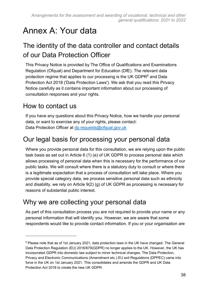# <span id="page-37-0"></span>Annex A: Your data

# The identity of the data controller and contact details of our Data Protection Officer

This Privacy Notice is provided by The Office of Qualifications and Examinations Regulation (Ofqual) and Department for Education (DfE). The relevant data protection regime that applies to our processing is the UK GDPR<sup>6</sup> and Data Protection Act 2018 ('Data Protection Laws'). We ask that you read this Privacy Notice carefully as it contains important information about our processing of consultation responses and your rights.

# How to contact us

If you have any questions about this Privacy Notice, how we handle your personal data, or want to exercise any of your rights, please contact: Data Protection Officer at [dp.requests@ofqual.gov.uk](mailto:dprequests@ofqual.gov.uk)

# Our legal basis for processing your personal data

Where you provide personal data for this consultation, we are relying upon the public task basis as set out in Article 6 (1) (e) of UK GDPR to process personal data which allows processing of personal data when this is necessary for the performance of our public tasks. We will consult where there is a statutory duty to consult or where there is a legitimate expectation that a process of consultation will take place. Where you provide special category data, we process sensitive personal data such as ethnicity and disability, we rely on Article 9(2) (g) of UK GDPR as processing is necessary for reasons of substantial public interest.

# Why we are collecting your personal data

As part of this consultation process you are not required to provide your name or any personal information that will identify you. However, we are aware that some respondents would like to provide contact information. If you or your organisation are

<sup>6</sup> Please note that as of 1st January 2021, data protection laws in the UK have changed. The General Data Protection Regulation (EU) 2016/679(GDPR) no longer applies to the UK. However, the UK has incorporated GDPR into domestic law subject to minor technical changes. The Data Protection, Privacy and Electronic Communications (Amendment etc.) EU exit Regulations (DPPEC) came into force in the UK on 1st January 2021. This consolidates and amends the GDPR and UK Data Protection Act 2018 to create the new UK GDPR.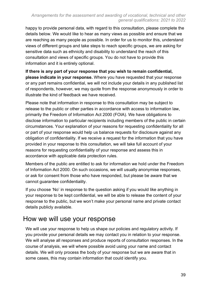happy to provide personal data, with regard to this consultation, please complete the details below. We would like to hear as many views as possible and ensure that we are reaching as many people as possible. In order for us to monitor this, understand views of different groups and take steps to reach specific groups, we are asking for sensitive data such as ethnicity and disability to understand the reach of this consultation and views of specific groups. You do not have to provide this information and it is entirely optional.

**If there is any part of your response that you wish to remain confidential, please indicate in your response.** Where you have requested that your response or any part remains confidential, we will not include your details in any published list of respondents, however, we may quote from the response anonymously in order to illustrate the kind of feedback we have received.

Please note that information in response to this consultation may be subject to release to the public or other parties in accordance with access to information law, primarily the Freedom of Information Act 2000 (FOIA). We have obligations to disclose information to particular recipients including members of the public in certain circumstances. Your explanation of your reasons for requesting confidentiality for all or part of your response would help us balance requests for disclosure against any obligation of confidentiality. If we receive a request for the information that you have provided in your response to this consultation, we will take full account of your reasons for requesting confidentiality of your response and assess this in accordance with applicable data protection rules.

Members of the public are entitled to ask for information we hold under the Freedom of Information Act 2000. On such occasions, we will usually anonymise responses, or ask for consent from those who have responded, but please be aware that we cannot guarantee confidentiality.

If you choose 'No' in response to the question asking if you would like anything in your response to be kept confidential, we will be able to release the content of your response to the public, but we won't make your personal name and private contact details publicly available.

# How we will use your response

We will use your response to help us shape our policies and regulatory activity. If you provide your personal details we may contact you in relation to your response. We will analyse all responses and produce reports of consultation responses. In the course of analysis, we will where possible avoid using your name and contact details. We will only process the body of your response but we are aware that in some cases, this may contain information that could identify you.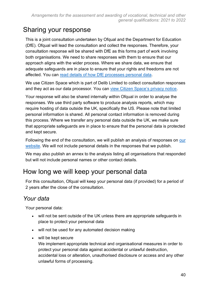# Sharing your response

This is a joint consultation undertaken by Ofqual and the Department for Education (DfE). Ofqual will lead the consultation and collect the responses. Therefore, your consultation response will be shared with DfE as this forms part of work involving both organisations. We need to share responses with them to ensure that our approach aligns with the wider process. Where we share data, we ensure that adequate safeguards are in place to ensure that your rights and freedoms are not affected. You can [read details of how DfE processes personal data.](https://www.gov.uk/government/organisations/department-for-education/about/personal-information-charter)

We use Citizen Space which is part of Delib Limited to collect consultation responses and they act as our data processor. You can [view Citizen Space's privacy notice.](https://app.citizenspace.com/privacy_policy/)

Your response will also be shared internally within Ofqual in order to analyse the responses. We use third party software to produce analysis reports, which may require hosting of data outside the UK, specifically the US. Please note that limited personal information is shared. All personal contact information is removed during this process. Where we transfer any personal data outside the UK, we make sure that appropriate safeguards are in place to ensure that the personal data is protected and kept secure.

Following the end of the consultation, we will publish an analysis of responses on our [website.](https://www.gov.uk/ofqual) We will not include personal details in the responses that we publish.

We may also publish an annex to the analysis listing all organisations that responded but will not include personal names or other contact details.

# How long we will keep your personal data

For this consultation, Ofqual will keep your personal data (if provided) for a period of 2 years after the close of the consultation.

## *Your data*

Your personal data:

- will not be sent outside of the UK unless there are appropriate safeguards in place to protect your personal data
- will not be used for any automated decision making
- will be kept secure

We implement appropriate technical and organisational measures in order to protect your personal data against accidental or unlawful destruction, accidental loss or alteration, unauthorised disclosure or access and any other unlawful forms of processing.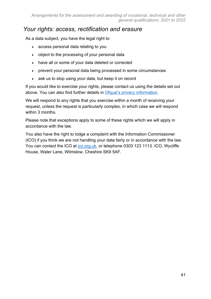#### *Your rights: access, rectification and erasure*

As a data subject, you have the legal right to:

- access personal data relating to you
- object to the processing of your personal data
- have all or some of your data deleted or corrected
- prevent your personal data being processed in some circumstances
- ask us to stop using your data, but keep it on record

If you would like to exercise your rights, please contact us using the details set out above. You can also find further details in [Ofqual's privacy information.](https://www.gov.uk/government/organisations/ofqual/about/personal-information-charter)

We will respond to any rights that you exercise within a month of receiving your request, unless the request is particularly complex, in which case we will respond within 3 months.

Please note that exceptions apply to some of these rights which we will apply in accordance with the law.

You also have the right to lodge a complaint with the Information Commissioner (ICO) if you think we are not handling your data fairly or in accordance with the law. You can contact the ICO at [ico.org.uk,](https://ico.org.uk/) or telephone 0303 123 1113. ICO, Wycliffe House, Water Lane, Wilmslow, Cheshire SK9 5AF.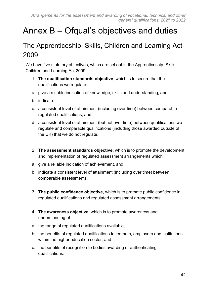# <span id="page-41-0"></span>Annex B – Ofqual's objectives and duties

# <span id="page-41-1"></span>The Apprenticeship, Skills, Children and Learning Act 2009

We have five statutory objectives, which are set out in the Apprenticeship, Skills, Children and Learning Act 2009.

- 1. **The qualification standards objective**, which is to secure that the qualifications we regulate:
- a. give a reliable indication of knowledge, skills and understanding; and
- b. indicate:
- c. a consistent level of attainment (including over time) between comparable regulated qualifications; and
- d. a consistent level of attainment (but not over time) between qualifications we regulate and comparable qualifications (including those awarded outside of the UK) that we do not regulate.
- 2. **The assessment standards objective**, which is to promote the development and implementation of regulated assessment arrangements which
- a. give a reliable indication of achievement, and
- b. indicate a consistent level of attainment (including over time) between comparable assessments.
- 3. **The public confidence objective**, which is to promote public confidence in regulated qualifications and regulated assessment arrangements.
- 4. **The awareness objective**, which is to promote awareness and understanding of
- a. the range of regulated qualifications available,
- b. the benefits of regulated qualifications to learners, employers and institutions within the higher education sector, and
- c. the benefits of recognition to bodies awarding or authenticating qualifications.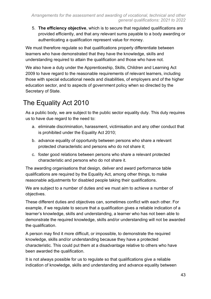5. **The efficiency objective**, which is to secure that regulated qualifications are provided efficiently, and that any relevant sums payable to a body awarding or authenticating a qualification represent value for money.

We must therefore regulate so that qualifications properly differentiate between learners who have demonstrated that they have the knowledge, skills and understanding required to attain the qualification and those who have not.

We also have a duty under the Apprenticeship, Skills, Children and Learning Act 2009 to have regard to the reasonable requirements of relevant learners, including those with special educational needs and disabilities, of employers and of the higher education sector, and to aspects of government policy when so directed by the Secretary of State.

# <span id="page-42-0"></span>The Equality Act 2010

As a public body, we are subject to the public sector equality duty. This duty requires us to have due regard to the need to:

- a. eliminate discrimination, harassment, victimisation and any other conduct that is prohibited under the Equality Act 2010;
- b. advance equality of opportunity between persons who share a relevant protected characteristic and persons who do not share it;
- c. foster good relations between persons who share a relevant protected characteristic and persons who do not share it.

The awarding organisations that design, deliver and award performance table qualifications are required by the Equality Act, among other things, to make reasonable adjustments for disabled people taking their qualifications.

We are subject to a number of duties and we must aim to achieve a number of objectives.

These different duties and objectives can, sometimes conflict with each other. For example, if we regulate to secure that a qualification gives a reliable indication of a learner's knowledge, skills and understanding, a learner who has not been able to demonstrate the required knowledge, skills and/or understanding will not be awarded the qualification.

A person may find it more difficult, or impossible, to demonstrate the required knowledge, skills and/or understanding because they have a protected characteristic. This could put them at a disadvantage relative to others who have been awarded the qualification.

It is not always possible for us to regulate so that qualifications give a reliable indication of knowledge, skills and understanding and advance equality between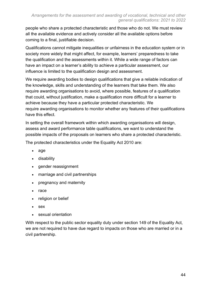people who share a protected characteristic and those who do not. We must review all the available evidence and actively consider all the available options before coming to a final, justifiable decision.  

Qualifications cannot mitigate inequalities or unfairness in the education system or in society more widely that might affect, for example, learners' preparedness to take the qualification and the assessments within it. While a wide range of factors can have an impact on a learner's ability to achieve a particular assessment, our influence is limited to the qualification design and assessment.

We require awarding bodies to design qualifications that give a reliable indication of the knowledge, skills and understanding of the learners that take them. We also require awarding organisations to avoid, where possible, features of a qualification that could, without justification, make a qualification more difficult for a learner to achieve because they have a particular protected characteristic. We require awarding organisations to monitor whether any features of their qualifications have this effect.

In setting the overall framework within which awarding organisations will design, assess and award performance table qualifications, we want to understand the possible impacts of the proposals on learners who share a protected characteristic.

The protected characteristics under the Equality Act 2010 are:

- age
- disability
- gender reassignment
- marriage and civil partnerships
- pregnancy and maternity
- race
- religion or belief
- sex
- sexual orientation

With respect to the public sector equality duty under section 149 of the Equality Act, we are not required to have due regard to impacts on those who are married or in a civil partnership.